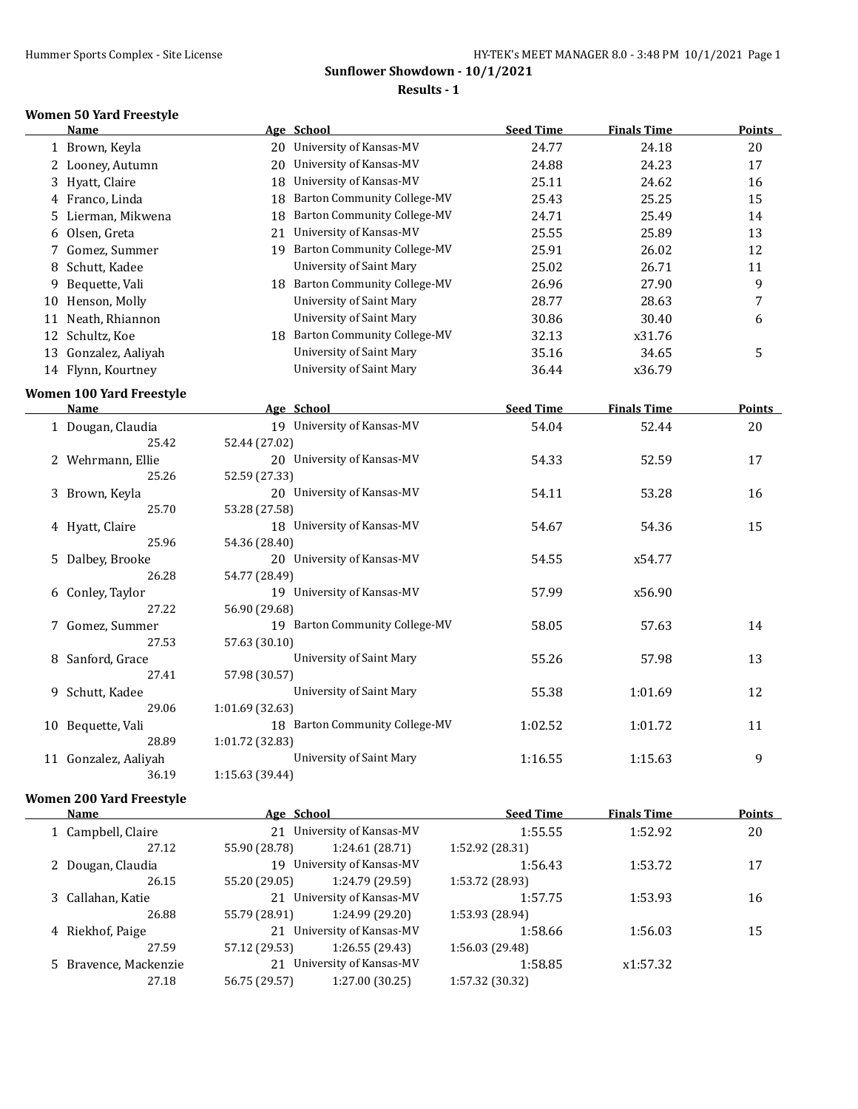#### **Results - 1**

#### **Women 50 Yard Freestyle**

|    | Name                            |                 | Age School                         | <b>Seed Time</b> | <b>Finals Time</b> | <b>Points</b>  |
|----|---------------------------------|-----------------|------------------------------------|------------------|--------------------|----------------|
|    | 1 Brown, Keyla                  |                 | 20 University of Kansas-MV         | 24.77            | 24.18              | 20             |
|    | 2 Looney, Autumn                |                 | 20 University of Kansas-MV         | 24.88            | 24.23              | 17             |
|    | 3 Hyatt, Claire                 |                 | 18 University of Kansas-MV         | 25.11            | 24.62              | 16             |
|    | 4 Franco, Linda                 | 18              | <b>Barton Community College-MV</b> | 25.43            | 25.25              | 15             |
| 5. | Lierman, Mikwena                | 18              | <b>Barton Community College-MV</b> | 24.71            | 25.49              | 14             |
|    | 6 Olsen, Greta                  |                 | 21 University of Kansas-MV         | 25.55            | 25.89              | 13             |
|    | 7 Gomez, Summer                 |                 | 19 Barton Community College-MV     | 25.91            | 26.02              | 12             |
| 8  | Schutt, Kadee                   |                 | University of Saint Mary           | 25.02            | 26.71              | 11             |
| 9  | Bequette, Vali                  |                 | 18 Barton Community College-MV     | 26.96            | 27.90              | 9              |
|    | 10 Henson, Molly                |                 | University of Saint Mary           | 28.77            | 28.63              | $\overline{7}$ |
|    | 11 Neath, Rhiannon              |                 | University of Saint Mary           | 30.86            | 30.40              | 6              |
|    | 12 Schultz, Koe                 |                 | 18 Barton Community College-MV     | 32.13            | x31.76             |                |
|    | 13 Gonzalez, Aaliyah            |                 | University of Saint Mary           | 35.16            | 34.65              | 5              |
|    | 14 Flynn, Kourtney              |                 | <b>University of Saint Mary</b>    | 36.44            | x36.79             |                |
|    | <b>Women 100 Yard Freestyle</b> |                 |                                    |                  |                    |                |
|    | Name                            |                 | Age School                         | <b>Seed Time</b> | <b>Finals Time</b> | <b>Points</b>  |
|    | 1 Dougan, Claudia               |                 | 19 University of Kansas-MV         | 54.04            | 52.44              | 20             |
|    | 25.42                           | 52.44 (27.02)   |                                    |                  |                    |                |
|    | 2 Wehrmann, Ellie               |                 | 20 University of Kansas-MV         | 54.33            | 52.59              | 17             |
|    | 25.26                           | 52.59 (27.33)   |                                    |                  |                    |                |
|    | 3 Brown, Keyla                  |                 | 20 University of Kansas-MV         | 54.11            | 53.28              | 16             |
|    | 25.70                           | 53.28 (27.58)   |                                    |                  |                    |                |
|    | 4 Hyatt, Claire                 |                 | 18 University of Kansas-MV         | 54.67            | 54.36              | 15             |
|    | 25.96                           | 54.36 (28.40)   |                                    |                  |                    |                |
|    | 5 Dalbey, Brooke                |                 | 20 University of Kansas-MV         | 54.55            | x54.77             |                |
|    | 26.28                           | 54.77 (28.49)   |                                    |                  |                    |                |
|    | 6 Conley, Taylor                |                 | 19 University of Kansas-MV         | 57.99            | x56.90             |                |
|    | 27.22                           | 56.90 (29.68)   |                                    |                  |                    |                |
|    | 7 Gomez, Summer                 |                 | 19 Barton Community College-MV     | 58.05            | 57.63              | 14             |
|    | 27.53                           | 57.63 (30.10)   |                                    |                  |                    |                |
|    | 8 Sanford, Grace                |                 | <b>University of Saint Mary</b>    | 55.26            | 57.98              | 13             |
|    | 27.41                           | 57.98 (30.57)   |                                    |                  |                    |                |
| 9. | Schutt, Kadee                   |                 | <b>University of Saint Mary</b>    | 55.38            | 1:01.69            | 12             |
|    | 29.06                           | 1:01.69 (32.63) |                                    |                  |                    |                |
|    | 10 Bequette, Vali               |                 | 18 Barton Community College-MV     | 1:02.52          | 1:01.72            | 11             |
|    | 28.89                           | 1:01.72 (32.83) |                                    |                  |                    |                |
|    | 11 Gonzalez, Aaliyah            |                 | <b>University of Saint Mary</b>    | 1:16.55          | 1:15.63            | 9              |
|    | 36.19                           | 1:15.63 (39.44) |                                    |                  |                    |                |

#### **Women 200 Yard Freestyle**

| Name  |                                                                                                           |                 | <b>Seed Time</b>                                                                                                                                                 | <b>Finals Time</b> | <b>Points</b> |
|-------|-----------------------------------------------------------------------------------------------------------|-----------------|------------------------------------------------------------------------------------------------------------------------------------------------------------------|--------------------|---------------|
|       |                                                                                                           |                 | 1:55.55                                                                                                                                                          | 1:52.92            | 20            |
| 27.12 | 55.90 (28.78)                                                                                             | 1:24.61(28.71)  | 1:52.92 (28.31)                                                                                                                                                  |                    |               |
|       |                                                                                                           |                 | 1:56.43                                                                                                                                                          | 1:53.72            | 17            |
| 26.15 | 55.20 (29.05)                                                                                             | 1:24.79 (29.59) | 1:53.72 (28.93)                                                                                                                                                  |                    |               |
|       |                                                                                                           |                 | 1:57.75                                                                                                                                                          | 1:53.93            | 16            |
| 26.88 | 55.79 (28.91)                                                                                             | 1:24.99 (29.20) | 1:53.93 (28.94)                                                                                                                                                  |                    |               |
|       |                                                                                                           |                 | 1:58.66                                                                                                                                                          | 1:56.03            | 15            |
| 27.59 | 57.12 (29.53)                                                                                             | 1:26.55(29.43)  | 1:56.03 (29.48)                                                                                                                                                  |                    |               |
|       |                                                                                                           |                 | 1:58.85                                                                                                                                                          | x1:57.32           |               |
| 27.18 | 56.75 (29.57)                                                                                             | 1:27.00 (30.25) | 1:57.32 (30.32)                                                                                                                                                  |                    |               |
|       | 1 Campbell, Claire<br>2 Dougan, Claudia<br>3 Callahan, Katie<br>4 Riekhof, Paige<br>5 Bravence, Mackenzie |                 | Age School<br>21 University of Kansas-MV<br>19 University of Kansas-MV<br>21 University of Kansas-MV<br>21 University of Kansas-MV<br>21 University of Kansas-MV |                    |               |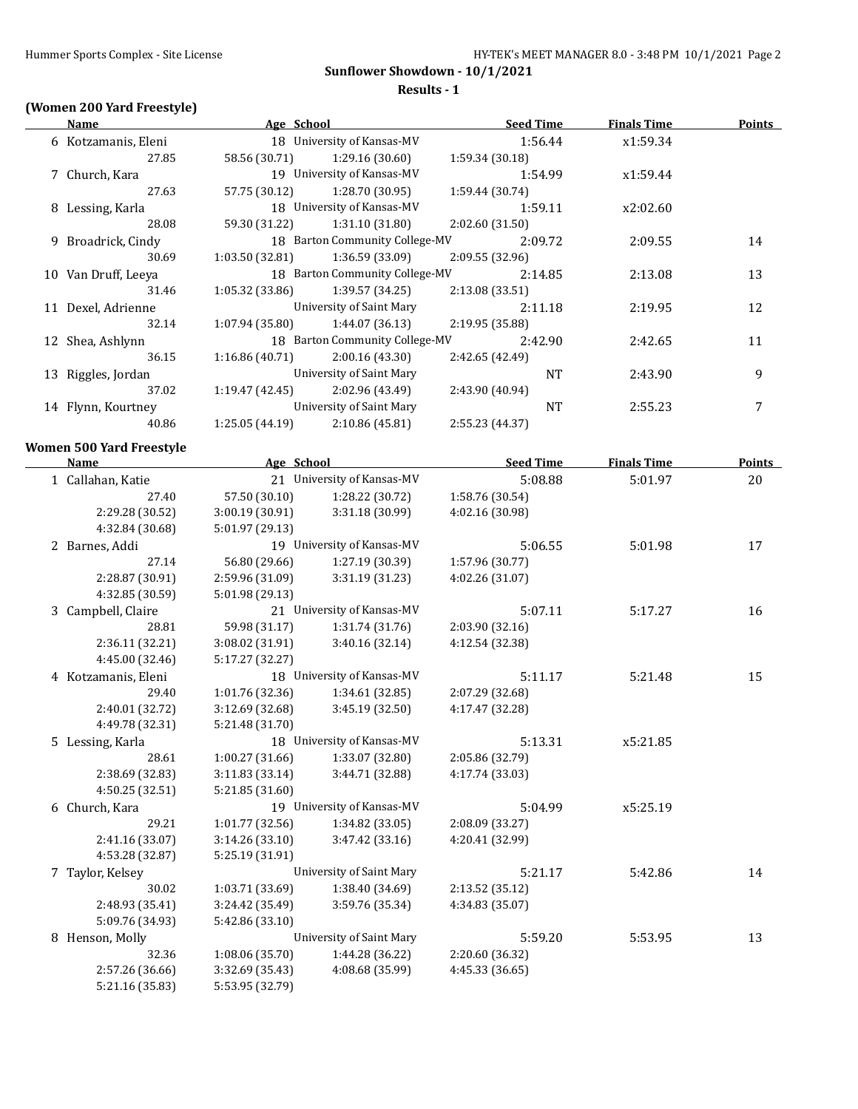#### **Results - 1**

# **(Women 200 Yard Freestyle)**

| Name                | Age School     |                                |                 | <b>Seed Time</b> | <b>Finals Time</b> | <b>Points</b> |
|---------------------|----------------|--------------------------------|-----------------|------------------|--------------------|---------------|
| 6 Kotzamanis, Eleni |                | 18 University of Kansas-MV     |                 | 1:56.44          | x1:59.34           |               |
| 27.85               | 58.56 (30.71)  | 1:29.16 (30.60)                | 1:59.34 (30.18) |                  |                    |               |
| 7 Church, Kara      |                | 19 University of Kansas-MV     |                 | 1:54.99          | x1:59.44           |               |
| 27.63               | 57.75 (30.12)  | 1:28.70 (30.95)                | 1:59.44 (30.74) |                  |                    |               |
| 8 Lessing, Karla    |                | 18 University of Kansas-MV     |                 | 1:59.11          | x2:02.60           |               |
| 28.08               | 59.30 (31.22)  | 1:31.10 (31.80)                | 2:02.60(31.50)  |                  |                    |               |
| 9 Broadrick, Cindy  |                | 18 Barton Community College-MV |                 | 2:09.72          | 2:09.55            | 14            |
| 30.69               | 1:03.50(32.81) | 1:36.59 (33.09)                | 2:09.55(32.96)  |                  |                    |               |
| 10 Van Druff, Leeva |                | 18 Barton Community College-MV |                 | 2:14.85          | 2:13.08            | 13            |
| 31.46               | 1:05.32(33.86) | 1:39.57 (34.25)                | 2:13.08 (33.51) |                  |                    |               |
| 11 Dexel, Adrienne  |                | University of Saint Mary       |                 | 2:11.18          | 2:19.95            | 12            |
| 32.14               | 1:07.94(35.80) | 1:44.07 (36.13)                | 2:19.95 (35.88) |                  |                    |               |
| 12 Shea, Ashlynn    |                | 18 Barton Community College-MV |                 | 2:42.90          | 2:42.65            | 11            |
| 36.15               | 1:16.86(40.71) | 2:00.16(43.30)                 | 2:42.65 (42.49) |                  |                    |               |
| 13 Riggles, Jordan  |                | University of Saint Mary       |                 | <b>NT</b>        | 2:43.90            | 9             |
| 37.02               | 1:19.47(42.45) | 2:02.96 (43.49)                | 2:43.90 (40.94) |                  |                    |               |
| 14 Flynn, Kourtney  |                | University of Saint Mary       |                 | <b>NT</b>        | 2:55.23            | 7             |
| 40.86               | 1:25.05(44.19) | 2:10.86 (45.81)                | 2:55.23 (44.37) |                  |                    |               |

#### **Women 500 Yard Freestyle**

 $\overline{\phantom{0}}$ 

| <b>Name</b>         | Age School      |                            | <b>Seed Time</b> | <b>Finals Time</b> | <b>Points</b> |
|---------------------|-----------------|----------------------------|------------------|--------------------|---------------|
| 1 Callahan, Katie   |                 | 21 University of Kansas-MV | 5:08.88          | 5:01.97            | 20            |
| 27.40               | 57.50 (30.10)   | 1:28.22 (30.72)            | 1:58.76 (30.54)  |                    |               |
| 2:29.28 (30.52)     | 3:00.19 (30.91) | 3:31.18 (30.99)            | 4:02.16 (30.98)  |                    |               |
| 4:32.84 (30.68)     | 5:01.97 (29.13) |                            |                  |                    |               |
| 2 Barnes, Addi      |                 | 19 University of Kansas-MV | 5:06.55          | 5:01.98            | 17            |
| 27.14               | 56.80 (29.66)   | 1:27.19 (30.39)            | 1:57.96 (30.77)  |                    |               |
| 2:28.87 (30.91)     | 2:59.96 (31.09) | 3:31.19 (31.23)            | 4:02.26 (31.07)  |                    |               |
| 4:32.85 (30.59)     | 5:01.98 (29.13) |                            |                  |                    |               |
| 3 Campbell, Claire  |                 | 21 University of Kansas-MV | 5:07.11          | 5:17.27            | 16            |
| 28.81               | 59.98 (31.17)   | 1:31.74 (31.76)            | 2:03.90 (32.16)  |                    |               |
| 2:36.11 (32.21)     | 3:08.02 (31.91) | 3:40.16 (32.14)            | 4:12.54 (32.38)  |                    |               |
| 4:45.00 (32.46)     | 5:17.27 (32.27) |                            |                  |                    |               |
| 4 Kotzamanis, Eleni |                 | 18 University of Kansas-MV | 5:11.17          | 5:21.48            | 15            |
| 29.40               | 1:01.76 (32.36) | 1:34.61 (32.85)            | 2:07.29 (32.68)  |                    |               |
| 2:40.01 (32.72)     | 3:12.69 (32.68) | 3:45.19 (32.50)            | 4:17.47 (32.28)  |                    |               |
| 4:49.78 (32.31)     | 5:21.48 (31.70) |                            |                  |                    |               |
| 5 Lessing, Karla    |                 | 18 University of Kansas-MV | 5:13.31          | x5:21.85           |               |
| 28.61               | 1:00.27(31.66)  | 1:33.07 (32.80)            | 2:05.86 (32.79)  |                    |               |
| 2:38.69 (32.83)     | 3:11.83(33.14)  | 3:44.71 (32.88)            | 4:17.74 (33.03)  |                    |               |
| 4:50.25 (32.51)     | 5:21.85 (31.60) |                            |                  |                    |               |
| 6 Church, Kara      |                 | 19 University of Kansas-MV | 5:04.99          | x5:25.19           |               |
| 29.21               | 1:01.77(32.56)  | 1:34.82 (33.05)            | 2:08.09 (33.27)  |                    |               |
| 2:41.16 (33.07)     | 3:14.26 (33.10) | 3:47.42 (33.16)            | 4:20.41 (32.99)  |                    |               |
| 4:53.28 (32.87)     | 5:25.19 (31.91) |                            |                  |                    |               |
| 7 Taylor, Kelsey    |                 | University of Saint Mary   | 5:21.17          | 5:42.86            | 14            |
| 30.02               | 1:03.71 (33.69) | 1:38.40 (34.69)            | 2:13.52 (35.12)  |                    |               |
| 2:48.93 (35.41)     | 3:24.42 (35.49) | 3:59.76 (35.34)            | 4:34.83 (35.07)  |                    |               |
| 5:09.76 (34.93)     | 5:42.86 (33.10) |                            |                  |                    |               |
| 8 Henson, Molly     |                 | University of Saint Mary   | 5:59.20          | 5:53.95            | 13            |
| 32.36               | 1:08.06 (35.70) | 1:44.28 (36.22)            | 2:20.60 (36.32)  |                    |               |
| 2:57.26 (36.66)     | 3:32.69 (35.43) | 4:08.68 (35.99)            | 4:45.33 (36.65)  |                    |               |
| 5:21.16 (35.83)     | 5:53.95 (32.79) |                            |                  |                    |               |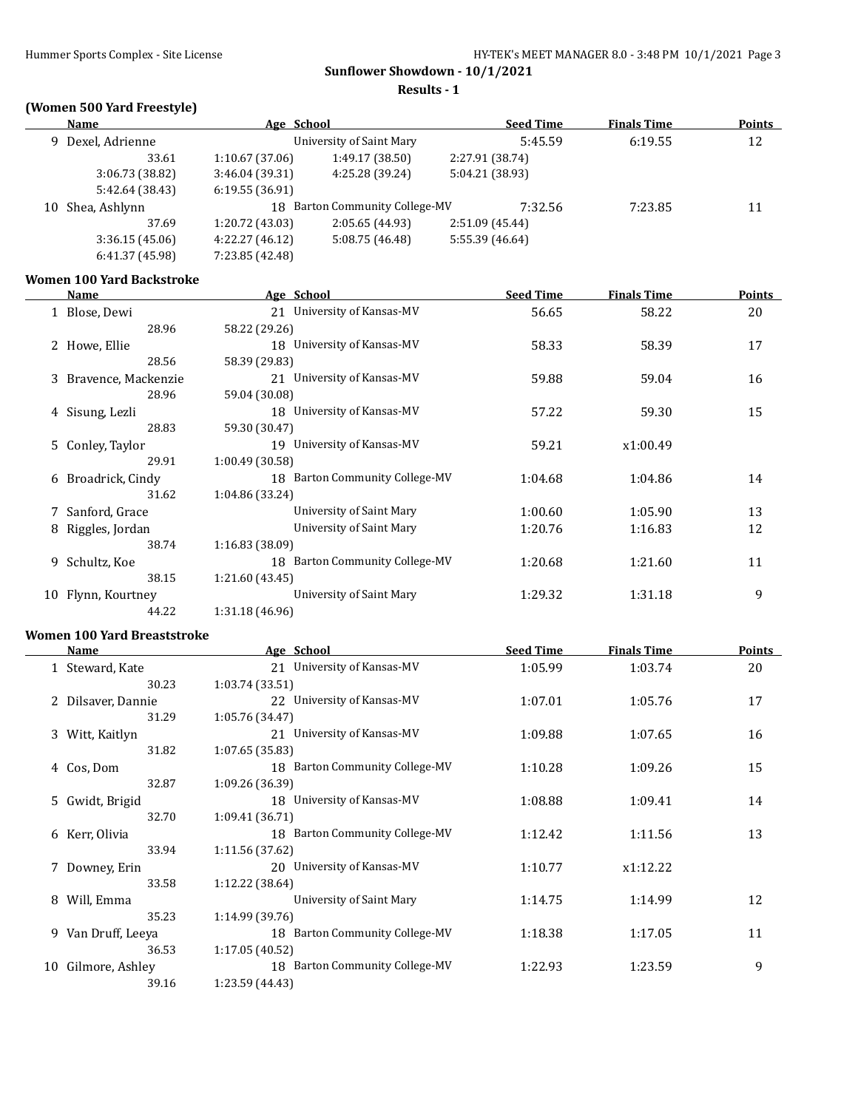**Results - 1**

# **(Women 500 Yard Freestyle)**

|    | <b>Name</b>                        | Age School      |                                | <b>Seed Time</b> | <b>Finals Time</b> | <b>Points</b> |
|----|------------------------------------|-----------------|--------------------------------|------------------|--------------------|---------------|
|    | 9 Dexel, Adrienne                  |                 | University of Saint Mary       | 5:45.59          | 6:19.55            | 12            |
|    | 33.61                              | 1:10.67 (37.06) | 1:49.17 (38.50)                | 2:27.91 (38.74)  |                    |               |
|    | 3:06.73 (38.82)                    | 3:46.04 (39.31) | 4:25.28 (39.24)                | 5:04.21 (38.93)  |                    |               |
|    | 5:42.64 (38.43)                    | 6:19.55(36.91)  |                                |                  |                    |               |
| 10 | Shea, Ashlynn                      |                 | 18 Barton Community College-MV | 7:32.56          | 7:23.85            | 11            |
|    | 37.69                              | 1:20.72 (43.03) | 2:05.65 (44.93)                | 2:51.09 (45.44)  |                    |               |
|    | 3:36.15(45.06)                     | 4:22.27 (46.12) | 5:08.75 (46.48)                | 5:55.39 (46.64)  |                    |               |
|    | 6:41.37 (45.98)                    | 7:23.85 (42.48) |                                |                  |                    |               |
|    | <b>Women 100 Yard Backstroke</b>   |                 |                                |                  |                    |               |
|    | Name                               | Age School      |                                | <b>Seed Time</b> | <b>Finals Time</b> | Points        |
|    | 1 Blose, Dewi                      |                 | 21 University of Kansas-MV     | 56.65            | 58.22              | 20            |
|    | 28.96                              | 58.22 (29.26)   |                                |                  |                    |               |
|    | 2 Howe, Ellie                      |                 | 18 University of Kansas-MV     | 58.33            | 58.39              | 17            |
|    | 28.56                              | 58.39 (29.83)   |                                |                  |                    |               |
|    | 3 Bravence, Mackenzie              |                 | 21 University of Kansas-MV     | 59.88            | 59.04              | 16            |
|    | 28.96                              | 59.04 (30.08)   |                                |                  |                    |               |
|    | 4 Sisung, Lezli                    |                 | 18 University of Kansas-MV     | 57.22            | 59.30              | 15            |
|    | 28.83                              | 59.30 (30.47)   |                                |                  |                    |               |
|    | 5 Conley, Taylor                   |                 | 19 University of Kansas-MV     | 59.21            | x1:00.49           |               |
|    | 29.91                              | 1:00.49 (30.58) |                                |                  |                    |               |
|    | 6 Broadrick, Cindy                 |                 | 18 Barton Community College-MV | 1:04.68          | 1:04.86            | 14            |
|    | 31.62                              | 1:04.86 (33.24) |                                |                  |                    |               |
|    | 7 Sanford, Grace                   |                 | University of Saint Mary       | 1:00.60          | 1:05.90            | 13            |
|    | 8 Riggles, Jordan                  |                 | University of Saint Mary       | 1:20.76          | 1:16.83            | 12            |
|    | 38.74                              | 1:16.83 (38.09) |                                |                  |                    |               |
|    | 9 Schultz, Koe                     |                 | 18 Barton Community College-MV | 1:20.68          | 1:21.60            | 11            |
|    | 38.15                              | 1:21.60 (43.45) |                                |                  |                    |               |
|    | 10 Flynn, Kourtney                 |                 | University of Saint Mary       | 1:29.32          | 1:31.18            | 9             |
|    | 44.22                              | 1:31.18 (46.96) |                                |                  |                    |               |
|    | <b>Women 100 Yard Breaststroke</b> |                 |                                |                  |                    |               |
|    | Name                               | Age School      |                                | <b>Seed Time</b> | <b>Finals Time</b> | <b>Points</b> |

|   | Name               | Age School                     | Seed Time | <b>Finals</b> Time | Points |
|---|--------------------|--------------------------------|-----------|--------------------|--------|
|   | 1 Steward, Kate    | 21 University of Kansas-MV     | 1:05.99   | 1:03.74            | 20     |
|   | 30.23              | 1:03.74 (33.51)                |           |                    |        |
|   | 2 Dilsaver, Dannie | 22 University of Kansas-MV     | 1:07.01   | 1:05.76            | 17     |
|   | 31.29              | 1:05.76 (34.47)                |           |                    |        |
|   | 3 Witt, Kaitlyn    | 21 University of Kansas-MV     | 1:09.88   | 1:07.65            | 16     |
|   | 31.82              | 1:07.65(35.83)                 |           |                    |        |
|   | 4 Cos, Dom         | 18 Barton Community College-MV | 1:10.28   | 1:09.26            | 15     |
|   | 32.87              | 1:09.26 (36.39)                |           |                    |        |
|   | 5 Gwidt, Brigid    | 18 University of Kansas-MV     | 1:08.88   | 1:09.41            | 14     |
|   | 32.70              | 1:09.41 (36.71)                |           |                    |        |
| 6 | Kerr, Olivia       | 18 Barton Community College-MV | 1:12.42   | 1:11.56            | 13     |
|   | 33.94              | 1:11.56 (37.62)                |           |                    |        |
|   | 7 Downey, Erin     | 20 University of Kansas-MV     | 1:10.77   | x1:12.22           |        |
|   | 33.58              | 1:12.22(38.64)                 |           |                    |        |
| 8 | Will, Emma         | University of Saint Mary       | 1:14.75   | 1:14.99            | 12     |
|   | 35.23              | 1:14.99(39.76)                 |           |                    |        |
| 9 | Van Druff, Leeya   | 18 Barton Community College-MV | 1:18.38   | 1:17.05            | 11     |
|   | 36.53              | 1:17.05 (40.52)                |           |                    |        |
|   | 10 Gilmore, Ashley | 18 Barton Community College-MV | 1:22.93   | 1:23.59            | 9      |
|   | 39.16              | 1:23.59 (44.43)                |           |                    |        |
|   |                    |                                |           |                    |        |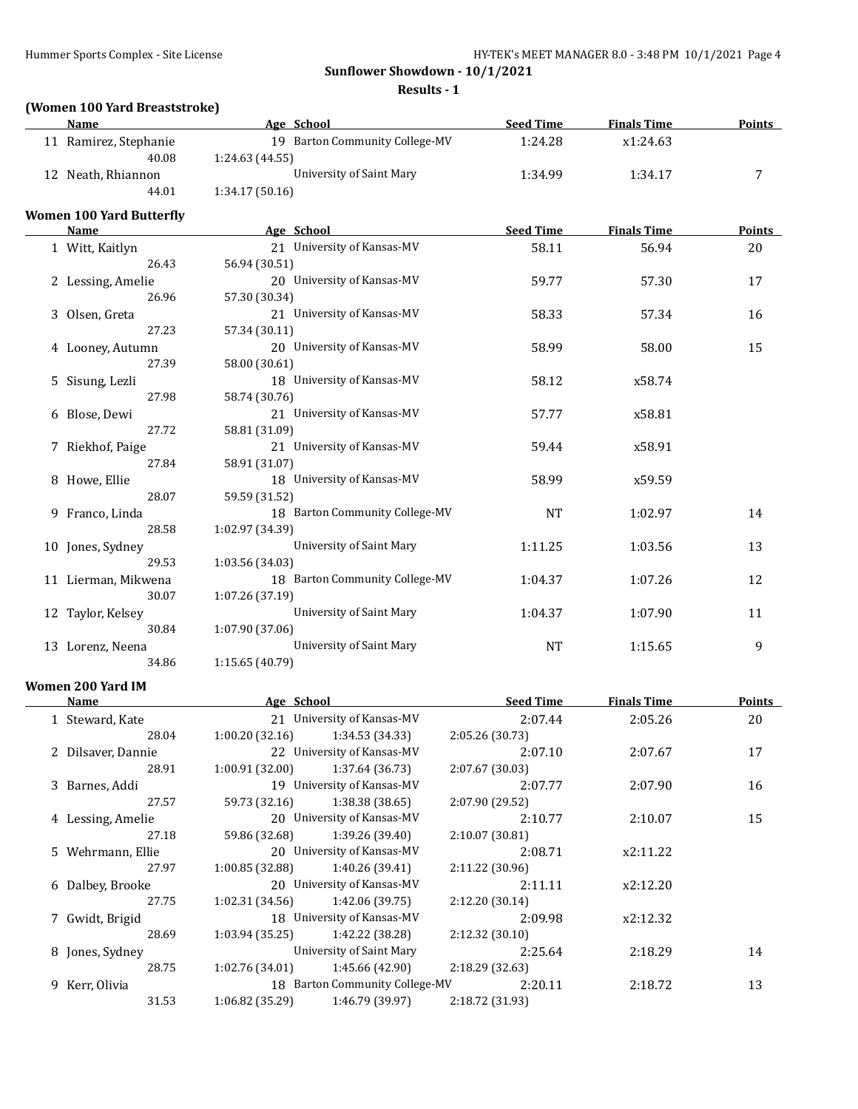**Results - 1**

# **(Women 100 Yard Breaststroke)**

| <b>Name</b>        | Age School                     | <b>Seed Time</b> | <b>Finals Time</b> | <b>Points</b> |
|--------------------|--------------------------------|------------------|--------------------|---------------|
| Ramirez, Stephanie | 19 Barton Community College-MV | 1:24.28          | x1:24.63           |               |
| 40.08              | 1:24.63(44.55)                 |                  |                    |               |
| 12 Neath, Rhiannon | University of Saint Mary       | 1:34.99          | 1:34.17            |               |
| 44.01              | 1:34.17(50.16)                 |                  |                    |               |

#### **Women 100 Yard Butterfly**

| Name                | Age School                     | <b>Seed Time</b> | <b>Finals Time</b> | <b>Points</b> |
|---------------------|--------------------------------|------------------|--------------------|---------------|
| 1 Witt, Kaitlyn     | 21 University of Kansas-MV     | 58.11            | 56.94              | 20            |
| 26.43               | 56.94 (30.51)                  |                  |                    |               |
| 2 Lessing, Amelie   | 20 University of Kansas-MV     | 59.77            | 57.30              | 17            |
| 26.96               | 57.30 (30.34)                  |                  |                    |               |
| 3 Olsen, Greta      | 21 University of Kansas-MV     | 58.33            | 57.34              | 16            |
| 27.23               | 57.34 (30.11)                  |                  |                    |               |
| 4 Looney, Autumn    | 20 University of Kansas-MV     | 58.99            | 58.00              | 15            |
| 27.39               | 58.00 (30.61)                  |                  |                    |               |
| 5 Sisung, Lezli     | 18 University of Kansas-MV     | 58.12            | x58.74             |               |
| 27.98               | 58.74 (30.76)                  |                  |                    |               |
| 6 Blose, Dewi       | 21 University of Kansas-MV     | 57.77            | x58.81             |               |
| 27.72               | 58.81 (31.09)                  |                  |                    |               |
| 7 Riekhof, Paige    | 21 University of Kansas-MV     | 59.44            | x58.91             |               |
| 27.84               | 58.91 (31.07)                  |                  |                    |               |
| 8 Howe, Ellie       | 18 University of Kansas-MV     | 58.99            | x59.59             |               |
| 28.07               | 59.59 (31.52)                  |                  |                    |               |
| 9 Franco, Linda     | 18 Barton Community College-MV | $\rm{NT}$        | 1:02.97            | 14            |
| 28.58               | 1:02.97 (34.39)                |                  |                    |               |
| 10 Jones, Sydney    | University of Saint Mary       | 1:11.25          | 1:03.56            | 13            |
| 29.53               | 1:03.56 (34.03)                |                  |                    |               |
| 11 Lierman, Mikwena | 18 Barton Community College-MV | 1:04.37          | 1:07.26            | 12            |
| 30.07               | 1:07.26 (37.19)                |                  |                    |               |
| 12 Taylor, Kelsey   | University of Saint Mary       | 1:04.37          | 1:07.90            | 11            |
| 30.84               | 1:07.90 (37.06)                |                  |                    |               |
| 13 Lorenz, Neena    | University of Saint Mary       | <b>NT</b>        | 1:15.65            | 9             |
| 34.86               | 1:15.65 (40.79)                |                  |                    |               |

# **Women 200 Yard IM**

| Name               | Age School     |                                | <b>Seed Time</b> | <b>Finals Time</b> | <b>Points</b> |
|--------------------|----------------|--------------------------------|------------------|--------------------|---------------|
| 1 Steward, Kate    |                | 21 University of Kansas-MV     | 2:07.44          | 2:05.26            | 20            |
| 28.04              | 1:00.20(32.16) | 1:34.53 (34.33)                | 2:05.26 (30.73)  |                    |               |
| 2 Dilsaver, Dannie |                | 22 University of Kansas-MV     | 2:07.10          | 2:07.67            | 17            |
| 28.91              | 1:00.91(32.00) | 1:37.64 (36.73)                | 2:07.67(30.03)   |                    |               |
| 3 Barnes, Addi     |                | 19 University of Kansas-MV     | 2:07.77          | 2:07.90            | 16            |
| 27.57              | 59.73 (32.16)  | 1:38.38(38.65)                 | 2:07.90 (29.52)  |                    |               |
| 4 Lessing, Amelie  |                | 20 University of Kansas-MV     | 2:10.77          | 2:10.07            | 15            |
| 27.18              | 59.86 (32.68)  | 1:39.26 (39.40)                | 2:10.07(30.81)   |                    |               |
| 5 Wehrmann, Ellie  |                | 20 University of Kansas-MV     | 2:08.71          | x2:11.22           |               |
| 27.97              | 1:00.85(32.88) | 1:40.26 (39.41)                | 2:11.22(30.96)   |                    |               |
| 6 Dalbey, Brooke   |                | 20 University of Kansas-MV     | 2:11.11          | x2:12.20           |               |
| 27.75              | 1:02.31(34.56) | 1:42.06 (39.75)                | 2:12.20(30.14)   |                    |               |
| 7 Gwidt, Brigid    |                | 18 University of Kansas-MV     | 2:09.98          | x2:12.32           |               |
| 28.69              | 1:03.94(35.25) | 1:42.22 (38.28)                | 2:12.32(30.10)   |                    |               |
| 8 Jones, Sydney    |                | University of Saint Mary       | 2:25.64          | 2:18.29            | 14            |
| 28.75              | 1:02.76(34.01) | 1:45.66 (42.90)                | 2:18.29 (32.63)  |                    |               |
| 9 Kerr, Olivia     |                | 18 Barton Community College-MV | 2:20.11          | 2:18.72            | 13            |
| 31.53              | 1:06.82(35.29) | 1:46.79 (39.97)                | 2:18.72 (31.93)  |                    |               |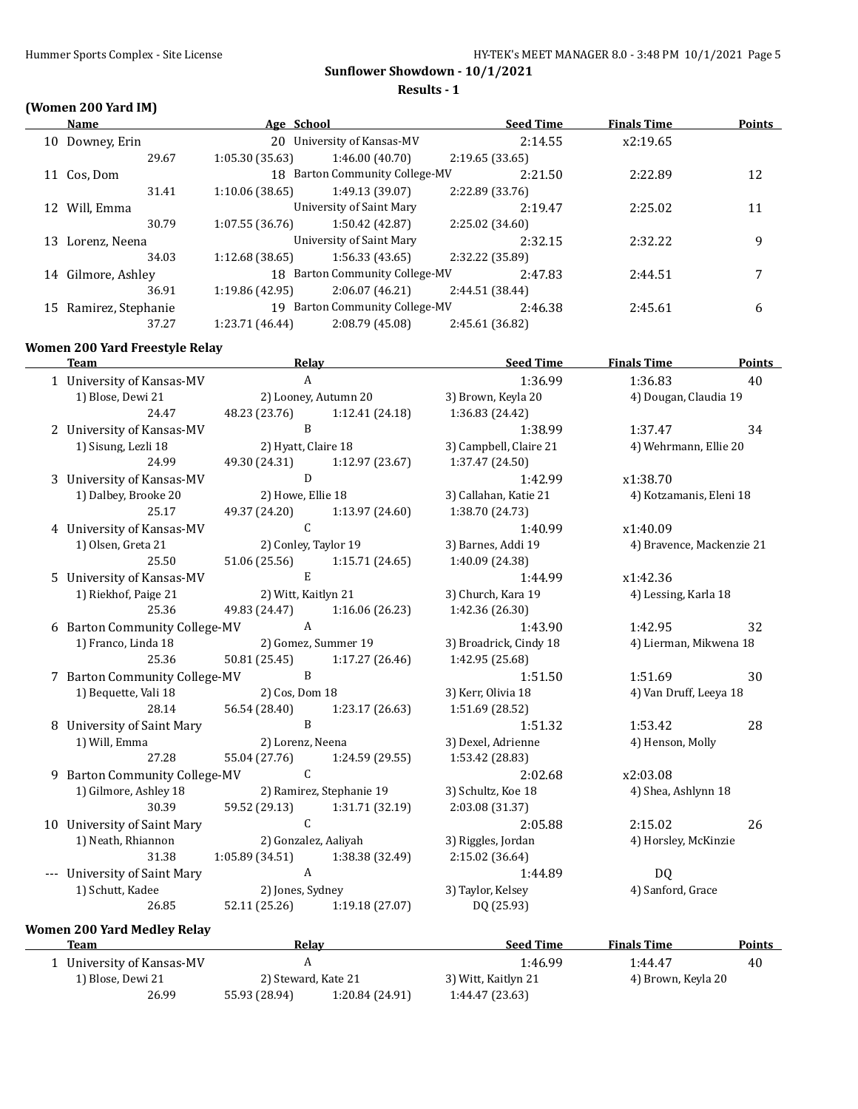**Results - 1**

# **(Women 200 Yard IM)**

|    | Name               | Age School      |                                    | <b>Seed Time</b> | <b>Finals Time</b> | <b>Points</b> |
|----|--------------------|-----------------|------------------------------------|------------------|--------------------|---------------|
| 10 | Downey, Erin       |                 | 20 University of Kansas-MV         | 2:14.55          | x2:19.65           |               |
|    | 29.67              | 1:05.30(35.63)  | 1:46.00(40.70)                     | 2:19.65(33.65)   |                    |               |
| 11 | Cos, Dom           |                 | 18 Barton Community College-MV     | 2:21.50          | 2:22.89            | 12            |
|    | 31.41              | 1:10.06(38.65)  | 1:49.13 (39.07)                    | 2:22.89 (33.76)  |                    |               |
|    | 12 Will, Emma      |                 | University of Saint Mary           | 2:19.47          | 2:25.02            | 11            |
|    | 30.79              | 1:07.55(36.76)  | 1:50.42 (42.87)                    | 2:25.02 (34.60)  |                    |               |
| 13 | Lorenz, Neena      |                 | University of Saint Mary           | 2:32.15          | 2:32.22            | 9             |
|    | 34.03              | 1:12.68 (38.65) | 1:56.33(43.65)                     | 2:32.22 (35.89)  |                    |               |
|    | 14 Gilmore, Ashley |                 | 18 Barton Community College-MV     | 2:47.83          | 2:44.51            | 7             |
|    | 36.91              | 1:19.86 (42.95) | 2:06.07(46.21)                     | 2:44.51 (38.44)  |                    |               |
| 15 | Ramirez, Stephanie | 19              | <b>Barton Community College-MV</b> | 2:46.38          | 2:45.61            | 6             |
|    | 37.27              | 1:23.71 (46.44) | 2:08.79 (45.08)                    | 2:45.61 (36.82)  |                    |               |

#### **Women 200 Yard Freestyle Relay**

| <b>Team</b>                        | <b>Relay</b>                      |                               | <b>Seed Time</b>       | <b>Finals Time</b>        | <b>Points</b> |
|------------------------------------|-----------------------------------|-------------------------------|------------------------|---------------------------|---------------|
| 1 University of Kansas-MV          | $\mathbf{A}$                      |                               | 1:36.99                | 1:36.83                   | 40            |
| 1) Blose, Dewi 21                  |                                   | 2) Looney, Autumn 20          | 3) Brown, Keyla 20     | 4) Dougan, Claudia 19     |               |
| 24.47                              | 48.23 (23.76)                     | 1:12.41(24.18)                | 1:36.83 (24.42)        |                           |               |
| 2 University of Kansas-MV          | B                                 |                               | 1:38.99                | 1:37.47                   | 34            |
| 1) Sisung, Lezli 18                | 2) Hyatt, Claire 18               |                               | 3) Campbell, Claire 21 | 4) Wehrmann, Ellie 20     |               |
| 24.99                              | 49.30 (24.31)                     | 1:12.97(23.67)                | 1:37.47 (24.50)        |                           |               |
| 3 University of Kansas-MV          | D                                 |                               | 1:42.99                | x1:38.70                  |               |
| 1) Dalbey, Brooke 20               | 2) Howe, Ellie 18                 |                               | 3) Callahan, Katie 21  | 4) Kotzamanis, Eleni 18   |               |
| 25.17                              |                                   | 49.37 (24.20) 1:13.97 (24.60) | 1:38.70 (24.73)        |                           |               |
| 4 University of Kansas-MV          | $\mathsf{C}$                      |                               | 1:40.99                | x1:40.09                  |               |
| 1) Olsen, Greta 21                 |                                   | 2) Conley, Taylor 19          | 3) Barnes, Addi 19     | 4) Bravence, Mackenzie 21 |               |
| 25.50                              |                                   | 51.06 (25.56) 1:15.71 (24.65) | 1:40.09 (24.38)        |                           |               |
| 5 University of Kansas-MV          | E                                 |                               | 1:44.99                | x1:42.36                  |               |
| 1) Riekhof, Paige 21               | 2) Witt, Kaitlyn 21               |                               | 3) Church, Kara 19     | 4) Lessing, Karla 18      |               |
| 25.36                              |                                   | 49.83 (24.47) 1:16.06 (26.23) | 1:42.36 (26.30)        |                           |               |
| 6 Barton Community College-MV      | $\mathbf{A}$                      |                               | 1:43.90                | 1:42.95                   | 32            |
| 1) Franco, Linda 18                |                                   | 2) Gomez, Summer 19           | 3) Broadrick, Cindy 18 | 4) Lierman, Mikwena 18    |               |
| 25.36                              |                                   | 50.81 (25.45) 1:17.27 (26.46) | 1:42.95 (25.68)        |                           |               |
| 7 Barton Community College-MV      | B                                 |                               | 1:51.50                | 1:51.69                   | 30            |
| 1) Bequette, Vali 18               | 2) Cos, Dom 18                    |                               | 3) Kerr, Olivia 18     | 4) Van Druff, Leeya 18    |               |
| 28.14                              | 56.54 (28.40)                     | 1:23.17 (26.63)               | 1:51.69 (28.52)        |                           |               |
| 8 University of Saint Mary         | $\overline{B}$                    |                               | 1:51.32                | 1:53.42                   | 28            |
| 1) Will, Emma                      | 2) Lorenz, Neena                  |                               | 3) Dexel, Adrienne     | 4) Henson, Molly          |               |
| 27.28                              | 55.04 (27.76)                     | 1:24.59 (29.55)               | 1:53.42 (28.83)        |                           |               |
| 9 Barton Community College-MV C    |                                   |                               | 2:02.68                | x2:03.08                  |               |
| 1) Gilmore, Ashley 18              |                                   | 2) Ramirez, Stephanie 19      | 3) Schultz, Koe 18     | 4) Shea, Ashlynn 18       |               |
| 30.39                              |                                   | 59.52 (29.13) 1:31.71 (32.19) | 2:03.08 (31.37)        |                           |               |
| 10 University of Saint Mary        | $\mathsf{C}$                      |                               | 2:05.88                | 2:15.02                   | 26            |
| 1) Neath, Rhiannon                 |                                   | 2) Gonzalez, Aaliyah          | 3) Riggles, Jordan     | 4) Horsley, McKinzie      |               |
| 31.38                              | $1:05.89(34.51)$ $1:38.38(32.49)$ |                               | 2:15.02 (36.64)        |                           |               |
| --- University of Saint Mary       | $\mathbf{A}$                      |                               | 1:44.89                | DQ                        |               |
| 1) Schutt, Kadee                   | 2) Jones, Sydney                  |                               | 3) Taylor, Kelsey      | 4) Sanford, Grace         |               |
| 26.85                              |                                   | 52.11 (25.26) 1:19.18 (27.07) | DQ (25.93)             |                           |               |
| <b>Women 200 Yard Medley Relay</b> |                                   |                               |                        |                           |               |

| <b>Team</b>             | Relav               |                 | <b>Seed Time</b>    | <b>Finals Time</b> | Points |
|-------------------------|---------------------|-----------------|---------------------|--------------------|--------|
| University of Kansas-MV |                     |                 | 1:46.99             | 1:44.47            | 40     |
| 1) Blose, Dewi 21       | 2) Steward, Kate 21 |                 | 3) Witt, Kaitlyn 21 | 4) Brown, Keyla 20 |        |
| 26.99                   | 55.93 (28.94)       | 1:20.84 (24.91) | 1:44.47 (23.63)     |                    |        |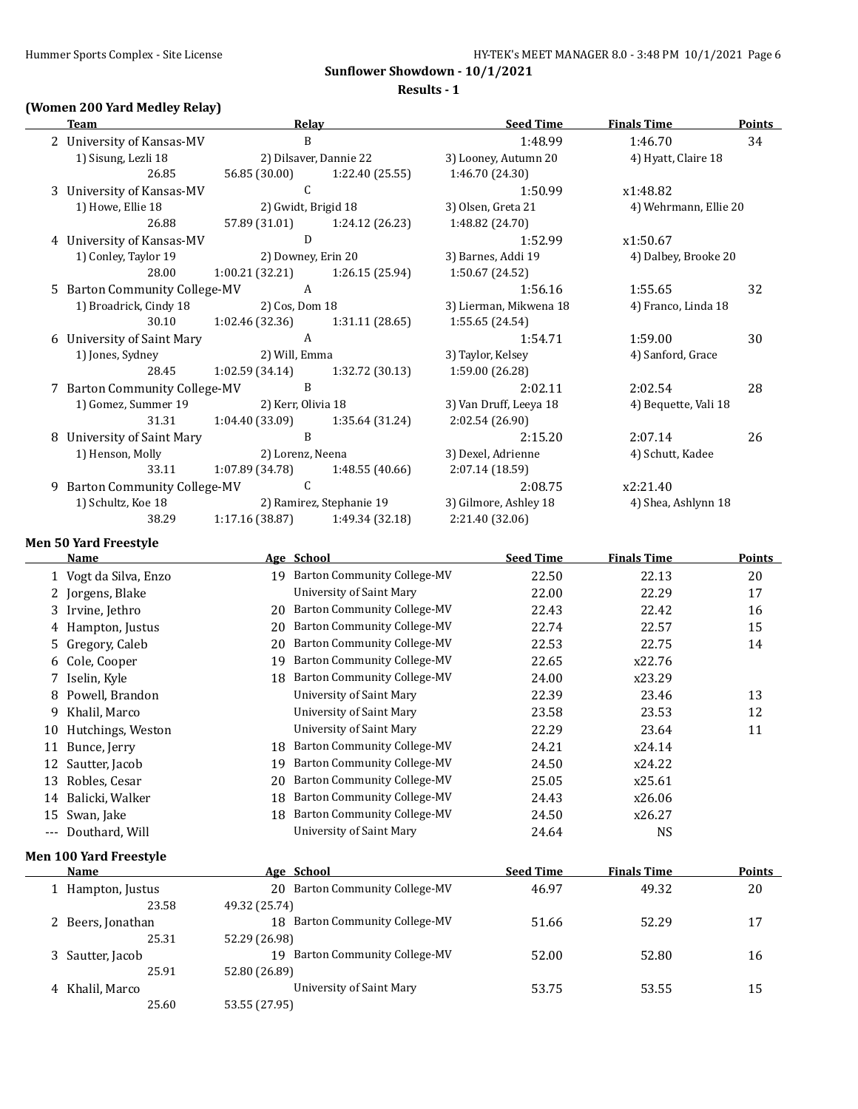**Results - 1**

#### **(Women 200 Yard Medley Relay)**

| <b>Team</b>                   | Relay               |                                   | <b>Seed Time</b>       | <b>Finals Time</b>    | <b>Points</b> |
|-------------------------------|---------------------|-----------------------------------|------------------------|-----------------------|---------------|
| 2 University of Kansas-MV     | B                   |                                   | 1:48.99                | 1:46.70               | 34            |
| 1) Sisung, Lezli 18           |                     | 2) Dilsaver, Dannie 22            | 3) Looney, Autumn 20   | 4) Hyatt, Claire 18   |               |
| 26.85                         | 56.85 (30.00)       | 1:22.40 (25.55)                   | 1:46.70 (24.30)        |                       |               |
| 3 University of Kansas-MV     | $\mathsf{C}$        |                                   | 1:50.99                | x1:48.82              |               |
| 1) Howe, Ellie 18             | 2) Gwidt, Brigid 18 |                                   | 3) Olsen, Greta 21     | 4) Wehrmann, Ellie 20 |               |
| 26.88                         |                     | 57.89 (31.01) 1:24.12 (26.23)     | 1:48.82 (24.70)        |                       |               |
| 4 University of Kansas-MV     | D                   |                                   | 1:52.99                | x1:50.67              |               |
| 1) Conley, Taylor 19          | 2) Downey, Erin 20  |                                   | 3) Barnes, Addi 19     | 4) Dalbey, Brooke 20  |               |
| 28.00                         |                     | $1:00.21(32.21)$ $1:26.15(25.94)$ | 1:50.67 (24.52)        |                       |               |
| 5 Barton Community College-MV | $\overline{A}$      |                                   | 1:56.16                | 1:55.65               | 32            |
| 1) Broadrick, Cindy 18        | 2) Cos, Dom 18      |                                   | 3) Lierman, Mikwena 18 | 4) Franco, Linda 18   |               |
| 30.10                         | 1:02.46 (32.36)     | 1:31.11 (28.65)                   | 1:55.65 (24.54)        |                       |               |
| 6 University of Saint Mary    | A                   |                                   | 1:54.71                | 1:59.00               | 30            |
| 1) Jones, Sydney              | 2) Will, Emma       |                                   | 3) Taylor, Kelsey      | 4) Sanford, Grace     |               |
| 28.45                         |                     | $1:02.59(34.14)$ $1:32.72(30.13)$ | 1:59.00 (26.28)        |                       |               |
| 7 Barton Community College-MV | B                   |                                   | 2:02.11                | 2:02.54               | 28            |
| 1) Gomez, Summer 19           | 2) Kerr, Olivia 18  |                                   | 3) Van Druff, Leeya 18 | 4) Bequette, Vali 18  |               |
| 31.31                         |                     | $1:04.40(33.09)$ $1:35.64(31.24)$ | 2:02.54 (26.90)        |                       |               |
| 8 University of Saint Mary    | <sub>B</sub>        |                                   | 2:15.20                | 2:07.14               | 26            |
| 1) Henson, Molly              | 2) Lorenz, Neena    |                                   | 3) Dexel, Adrienne     | 4) Schutt, Kadee      |               |
| 33.11                         | 1:07.89 (34.78)     | 1:48.55 (40.66)                   | 2:07.14 (18.59)        |                       |               |
| 9 Barton Community College-MV | $\overline{C}$      |                                   | 2:08.75                | x2:21.40              |               |
| 1) Schultz, Koe 18            |                     | 2) Ramirez, Stephanie 19          | 3) Gilmore, Ashley 18  | 4) Shea, Ashlynn 18   |               |
| 38.29                         |                     | $1:17.16(38.87)$ $1:49.34(32.18)$ | 2:21.40 (32.06)        |                       |               |
| <b>Men 50 Yard Freestyle</b>  |                     |                                   |                        |                       |               |

**Name Age School Seed Time Finals Time Points** 1 Vogt da Silva, Enzo 19 Barton Community College-MV 22.50 22.13 20 2 Jorgens, Blake Contract University of Saint Mary 22.00 22.29 22.29 22.29 22.29 22.29 22.29 22.29 22.29 22.29 3 Irvine, Jethro 20 Barton Community College-MV 22.43 22.42 22.42 16 4 Hampton, Justus 20 Barton Community College-MV 22.74 22.57 15 5 Gregory, Caleb 20 Barton Community College-MV 22.53 22.75 14 6 Cole, Cooper 19 Barton Community College-MV 22.65 x22.76 7 Iselin, Kyle 18 Barton Community College-MV 24.00 x23.29 8 Powell, Brandon University of Saint Mary 22.39 23.46 13 9 Khalil, Marco University of Saint Mary 23.58 23.53 12 10 Hutchings, Weston University of Saint Mary 22.29 23.64 11 11 Bunce, Jerry 18 Barton Community College-MV 24.21 x24.14 12 Sautter, Jacob 19 Barton Community College-MV 24.50 x24.22 13 Robles, Cesar 20 Barton Community College-MV 25.05 x25.61 14 Balicki, Walker 18 Barton Community College-MV 24.43 x26.06 15 Swan, Jake 18 Barton Community College-MV 24.50 x26.27 --- Douthard, Will Contact Mary University of Saint Mary 24.64 NS **Men 100 Yard Freestyle Name Age School Seed Time Finals Time Points** 1 Hampton, Justus 20 Barton Community College-MV 46.97 49.32 20 23.58 49.32 (25.74) 2 Beers, Jonathan 18 Barton Community College-MV 51.66 52.29 52.29 25.31 52.29 (26.98) 3 Sautter, Jacob 19 Barton Community College-MV 52.00 52.80 52.80 16 25.91 52.80 (26.89) 4 Khalil, Marco University of Saint Mary 53.75 53.55 15 25.60 53.55 (27.95)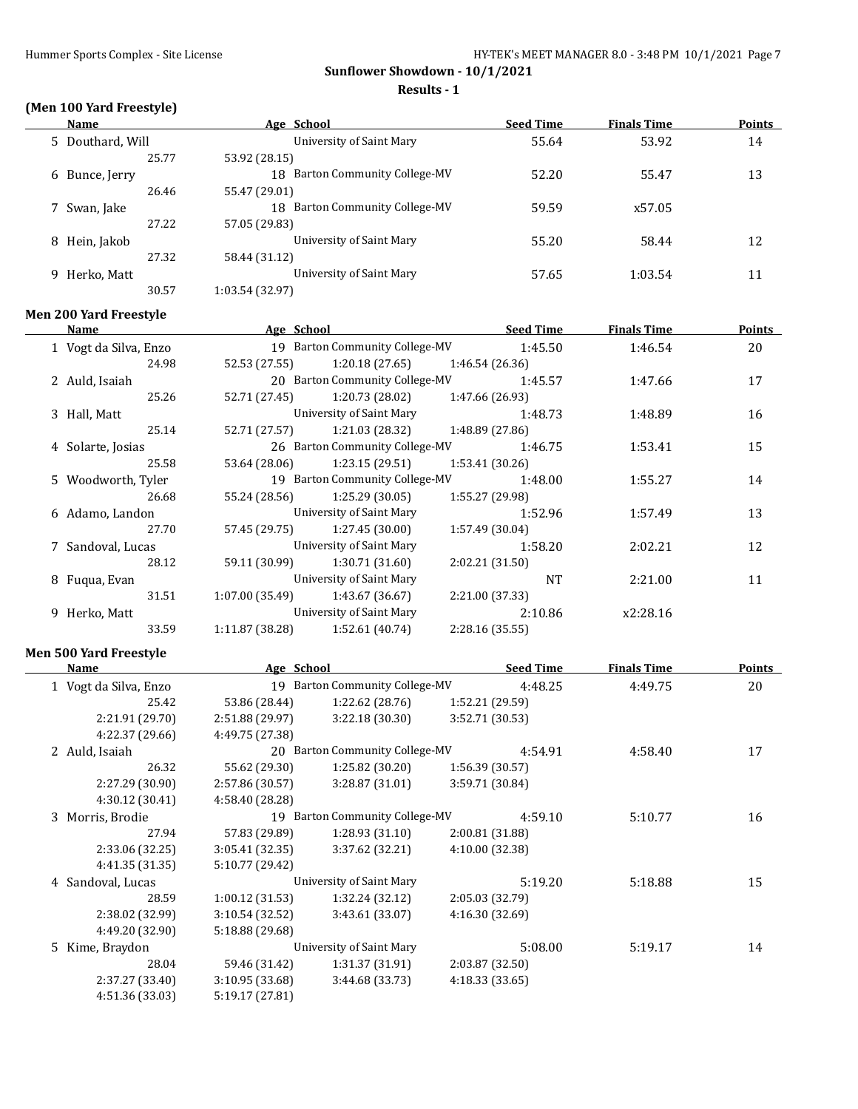**Sunflower Showdown - 10/1/2021 Results - 1**

# **(Men 100 Yard Freestyle)**

 $\overline{\phantom{a}}$ 

|    | Name             | Age School                               | <b>Seed Time</b> | <b>Finals Time</b> | <b>Points</b> |
|----|------------------|------------------------------------------|------------------|--------------------|---------------|
|    | 5 Douthard, Will | University of Saint Mary                 | 55.64            | 53.92              | 14            |
|    | 25.77            | 53.92 (28.15)                            |                  |                    |               |
|    | 6 Bunce, Jerry   | <b>Barton Community College-MV</b><br>18 | 52.20            | 55.47              | 13            |
|    | 26.46            | 55.47 (29.01)                            |                  |                    |               |
|    | 7 Swan, Jake     | 18 Barton Community College-MV           | 59.59            | x57.05             |               |
|    | 27.22            | 57.05 (29.83)                            |                  |                    |               |
| 8  | Hein, Jakob      | University of Saint Mary                 | 55.20            | 58.44              | 12            |
|    | 27.32            | 58.44 (31.12)                            |                  |                    |               |
| 9. | Herko, Matt      | University of Saint Mary                 | 57.65            | 1:03.54            | 11            |
|    | 30.57            | 1:03.54 (32.97)                          |                  |                    |               |

#### **Men 200 Yard Freestyle**

| Name                  | Age School     |                                |                 | <b>Seed Time</b> | <b>Finals Time</b> | Points |
|-----------------------|----------------|--------------------------------|-----------------|------------------|--------------------|--------|
| 1 Vogt da Silva, Enzo |                | 19 Barton Community College-MV |                 | 1:45.50          | 1:46.54            | 20     |
| 24.98                 | 52.53 (27.55)  | 1:20.18(27.65)                 | 1:46.54(26.36)  |                  |                    |        |
| 2 Auld, Isaiah        |                | 20 Barton Community College-MV |                 | 1:45.57          | 1:47.66            | 17     |
| 25.26                 | 52.71 (27.45)  | 1:20.73 (28.02)                | 1:47.66 (26.93) |                  |                    |        |
| 3 Hall, Matt          |                | University of Saint Mary       |                 | 1:48.73          | 1:48.89            | 16     |
| 25.14                 | 52.71 (27.57)  | 1:21.03 (28.32)                | 1:48.89 (27.86) |                  |                    |        |
| 4 Solarte, Josias     |                | 26 Barton Community College-MV |                 | 1:46.75          | 1:53.41            | 15     |
| 25.58                 | 53.64 (28.06)  | 1:23.15(29.51)                 | 1:53.41(30.26)  |                  |                    |        |
| 5 Woodworth, Tyler    |                | 19 Barton Community College-MV |                 | 1:48.00          | 1:55.27            | 14     |
| 26.68                 | 55.24 (28.56)  | 1:25.29(30.05)                 | 1:55.27 (29.98) |                  |                    |        |
| 6 Adamo, Landon       |                | University of Saint Mary       |                 | 1:52.96          | 1:57.49            | 13     |
| 27.70                 | 57.45 (29.75)  | 1:27.45(30.00)                 | 1:57.49 (30.04) |                  |                    |        |
| 7 Sandoval, Lucas     |                | University of Saint Mary       |                 | 1:58.20          | 2:02.21            | 12     |
| 28.12                 | 59.11 (30.99)  | 1:30.71(31.60)                 | 2:02.21(31.50)  |                  |                    |        |
| 8 Fugua, Evan         |                | University of Saint Mary       |                 | <b>NT</b>        | 2:21.00            | 11     |
| 31.51                 | 1:07.00(35.49) | 1:43.67 (36.67)                | 2:21.00 (37.33) |                  |                    |        |
| 9 Herko, Matt         |                | University of Saint Mary       |                 | 2:10.86          | x2:28.16           |        |
| 33.59                 | 1:11.87(38.28) | 1:52.61 (40.74)                | 2:28.16 (35.55) |                  |                    |        |
|                       |                |                                |                 |                  |                    |        |

# **Men 500 Yard Freestyle**

 $\overline{\phantom{a}}$ 

| Name                  | Age School      |                                |                 | <b>Seed Time</b> | <b>Finals Time</b> | Points |
|-----------------------|-----------------|--------------------------------|-----------------|------------------|--------------------|--------|
| 1 Vogt da Silva, Enzo |                 | 19 Barton Community College-MV |                 | 4:48.25          | 4:49.75            | 20     |
| 25.42                 | 53.86 (28.44)   | 1:22.62(28.76)                 | 1:52.21 (29.59) |                  |                    |        |
| 2:21.91 (29.70)       | 2:51.88 (29.97) | 3:22.18(30.30)                 | 3:52.71 (30.53) |                  |                    |        |
| 4:22.37 (29.66)       | 4:49.75 (27.38) |                                |                 |                  |                    |        |
| 2 Auld, Isaiah        |                 | 20 Barton Community College-MV |                 | 4:54.91          | 4:58.40            | 17     |
| 26.32                 | 55.62 (29.30)   | 1:25.82(30.20)                 | 1:56.39(30.57)  |                  |                    |        |
| 2:27.29 (30.90)       | 2:57.86 (30.57) | 3:28.87(31.01)                 | 3:59.71 (30.84) |                  |                    |        |
| 4:30.12(30.41)        | 4:58.40 (28.28) |                                |                 |                  |                    |        |
| 3 Morris, Brodie      |                 | 19 Barton Community College-MV |                 | 4:59.10          | 5:10.77            | 16     |
| 27.94                 | 57.83 (29.89)   | 1:28.93(31.10)                 | 2:00.81 (31.88) |                  |                    |        |
| 2:33.06 (32.25)       | 3:05.41(32.35)  | 3:37.62(32.21)                 | 4:10.00 (32.38) |                  |                    |        |
| 4:41.35 (31.35)       | 5:10.77 (29.42) |                                |                 |                  |                    |        |
| 4 Sandoval, Lucas     |                 | University of Saint Mary       |                 | 5:19.20          | 5:18.88            | 15     |
| 28.59                 | 1:00.12(31.53)  | 1:32.24 (32.12)                | 2:05.03 (32.79) |                  |                    |        |
| 2:38.02 (32.99)       | 3:10.54(32.52)  | 3:43.61 (33.07)                | 4:16.30 (32.69) |                  |                    |        |
| 4:49.20 (32.90)       | 5:18.88 (29.68) |                                |                 |                  |                    |        |
| 5 Kime, Braydon       |                 | University of Saint Mary       |                 | 5:08.00          | 5:19.17            | 14     |
| 28.04                 | 59.46 (31.42)   | 1:31.37(31.91)                 | 2:03.87 (32.50) |                  |                    |        |
| 2:37.27 (33.40)       | 3:10.95 (33.68) | 3:44.68(33.73)                 | 4:18.33(33.65)  |                  |                    |        |
| 4:51.36 (33.03)       | 5:19.17 (27.81) |                                |                 |                  |                    |        |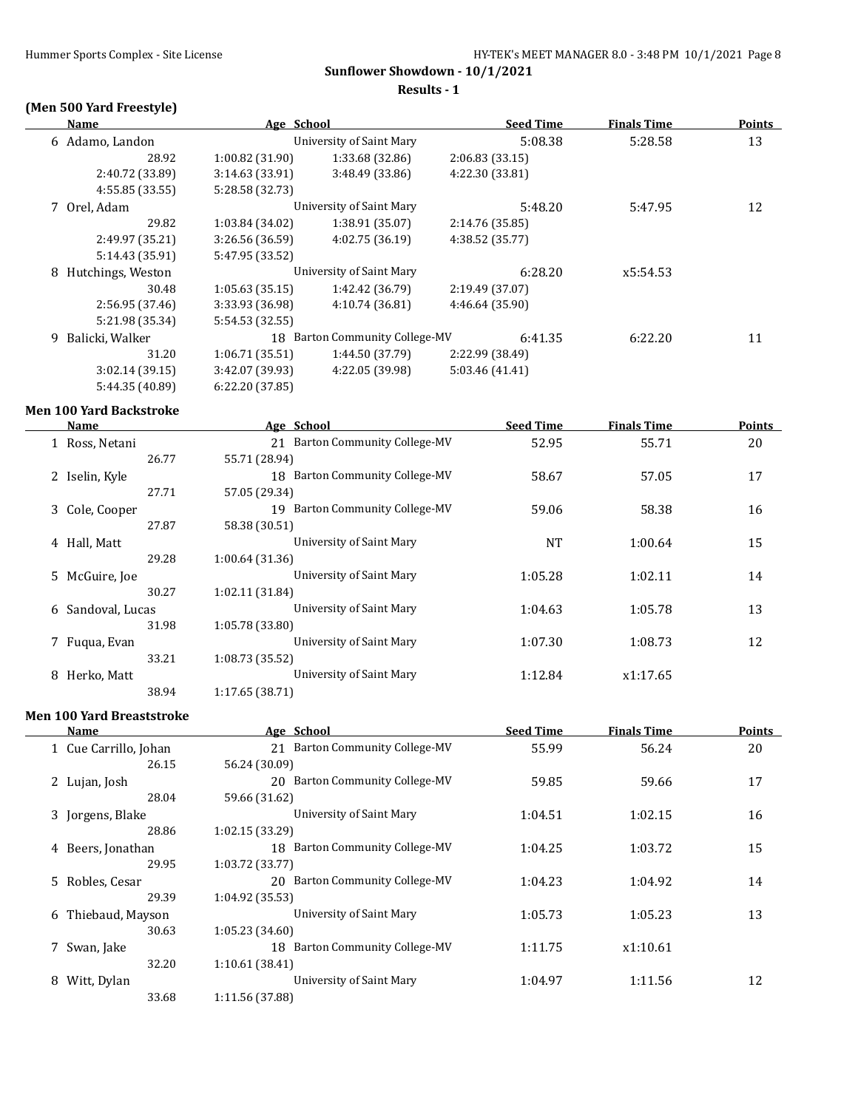**Results - 1**

# **(Men 500 Yard Freestyle)**

| Name                   | Age School      |                                | <b>Seed Time</b> | <b>Finals Time</b> | <b>Points</b> |
|------------------------|-----------------|--------------------------------|------------------|--------------------|---------------|
| 6 Adamo, Landon        |                 | University of Saint Mary       | 5:08.38          | 5:28.58            | 13            |
| 28.92                  | 1:00.82 (31.90) | 1:33.68(32.86)                 | 2:06.83(33.15)   |                    |               |
| 2:40.72 (33.89)        | 3:14.63(33.91)  | 3:48.49 (33.86)                | 4:22.30 (33.81)  |                    |               |
| 4:55.85(33.55)         | 5:28.58 (32.73) |                                |                  |                    |               |
| 7 Orel, Adam           |                 | University of Saint Mary       | 5:48.20          | 5:47.95            | 12            |
| 29.82                  | 1:03.84 (34.02) | 1:38.91 (35.07)                | 2:14.76 (35.85)  |                    |               |
| 2:49.97 (35.21)        | 3:26.56 (36.59) | 4:02.75(36.19)                 | 4:38.52 (35.77)  |                    |               |
| 5:14.43 (35.91)        | 5:47.95 (33.52) |                                |                  |                    |               |
| Hutchings, Weston<br>8 |                 | University of Saint Mary       | 6:28.20          | x5:54.53           |               |
| 30.48                  | 1:05.63(35.15)  | 1:42.42 (36.79)                | 2:19.49 (37.07)  |                    |               |
| 2:56.95 (37.46)        | 3:33.93 (36.98) | 4:10.74 (36.81)                | 4:46.64 (35.90)  |                    |               |
| 5:21.98 (35.34)        | 5:54.53 (32.55) |                                |                  |                    |               |
| Balicki, Walker<br>9   |                 | 18 Barton Community College-MV | 6:41.35          | 6:22.20            | 11            |
| 31.20                  | 1:06.71(35.51)  | 1:44.50 (37.79)                | 2:22.99 (38.49)  |                    |               |
| 3:02.14(39.15)         | 3:42.07 (39.93) | 4:22.05 (39.98)                | 5:03.46 (41.41)  |                    |               |
| 5:44.35 (40.89)        | 6:22.20 (37.85) |                                |                  |                    |               |
|                        |                 |                                |                  |                    |               |

#### **Men 100 Yard Backstroke**

 $\overline{a}$ 

| Name             |                 | Age School                               | <b>Seed Time</b> | <b>Finals Time</b> | <b>Points</b> |
|------------------|-----------------|------------------------------------------|------------------|--------------------|---------------|
| Ross, Netani     |                 | <b>Barton Community College-MV</b><br>21 | 52.95            | 55.71              | 20            |
|                  | 26.77           | 55.71 (28.94)                            |                  |                    |               |
| 2 Iselin, Kyle   |                 | <b>Barton Community College-MV</b><br>18 | 58.67            | 57.05              | 17            |
|                  | 27.71           | 57.05 (29.34)                            |                  |                    |               |
| 3 Cole, Cooper   |                 | Barton Community College-MV<br>19        | 59.06            | 58.38              | 16            |
|                  | 27.87           | 58.38 (30.51)                            |                  |                    |               |
| 4 Hall, Matt     |                 | University of Saint Mary                 | <b>NT</b>        | 1:00.64            | 15            |
|                  | 29.28           | 1:00.64 (31.36)                          |                  |                    |               |
| 5 McGuire, Joe   |                 | University of Saint Mary                 | 1:05.28          | 1:02.11            | 14            |
|                  | 30.27           | 1:02.11 (31.84)                          |                  |                    |               |
| 6                | Sandoval, Lucas | University of Saint Mary                 | 1:04.63          | 1:05.78            | 13            |
|                  | 31.98           | 1:05.78 (33.80)                          |                  |                    |               |
| Fugua, Evan      |                 | University of Saint Mary                 | 1:07.30          | 1:08.73            | 12            |
|                  | 33.21           | 1:08.73 (35.52)                          |                  |                    |               |
| Herko, Matt<br>8 |                 | University of Saint Mary                 | 1:12.84          | x1:17.65           |               |
|                  | 38.94           | 1:17.65(38.71)                           |                  |                    |               |

#### **Men 100 Yard Breaststroke**

| Name                  | Age School               |                                | <b>Seed Time</b> | <b>Finals Time</b> | <b>Points</b> |
|-----------------------|--------------------------|--------------------------------|------------------|--------------------|---------------|
| 1 Cue Carrillo, Johan |                          | 21 Barton Community College-MV | 55.99            | 56.24              | 20            |
|                       | 26.15<br>56.24 (30.09)   |                                |                  |                    |               |
| 2 Lujan, Josh         |                          | 20 Barton Community College-MV | 59.85            | 59.66              | 17            |
|                       | 28.04<br>59.66 (31.62)   |                                |                  |                    |               |
| 3 Jorgens, Blake      |                          | University of Saint Mary       | 1:04.51          | 1:02.15            | 16            |
|                       | 28.86<br>1:02.15(33.29)  |                                |                  |                    |               |
| 4 Beers, Jonathan     |                          | 18 Barton Community College-MV | 1:04.25          | 1:03.72            | 15            |
|                       | 29.95<br>1:03.72(33.77)  |                                |                  |                    |               |
| 5 Robles, Cesar       |                          | 20 Barton Community College-MV | 1:04.23          | 1:04.92            | 14            |
|                       | 29.39<br>1:04.92(35.53)  |                                |                  |                    |               |
| 6 Thiebaud, Mayson    |                          | University of Saint Mary       | 1:05.73          | 1:05.23            | 13            |
|                       | 30.63<br>1:05.23(34.60)  |                                |                  |                    |               |
| 7 Swan, Jake          |                          | 18 Barton Community College-MV | 1:11.75          | x1:10.61           |               |
|                       | 32.20<br>1:10.61(38.41)  |                                |                  |                    |               |
| Witt, Dylan<br>8      |                          | University of Saint Mary       | 1:04.97          | 1:11.56            | 12            |
|                       | 33.68<br>1:11.56 (37.88) |                                |                  |                    |               |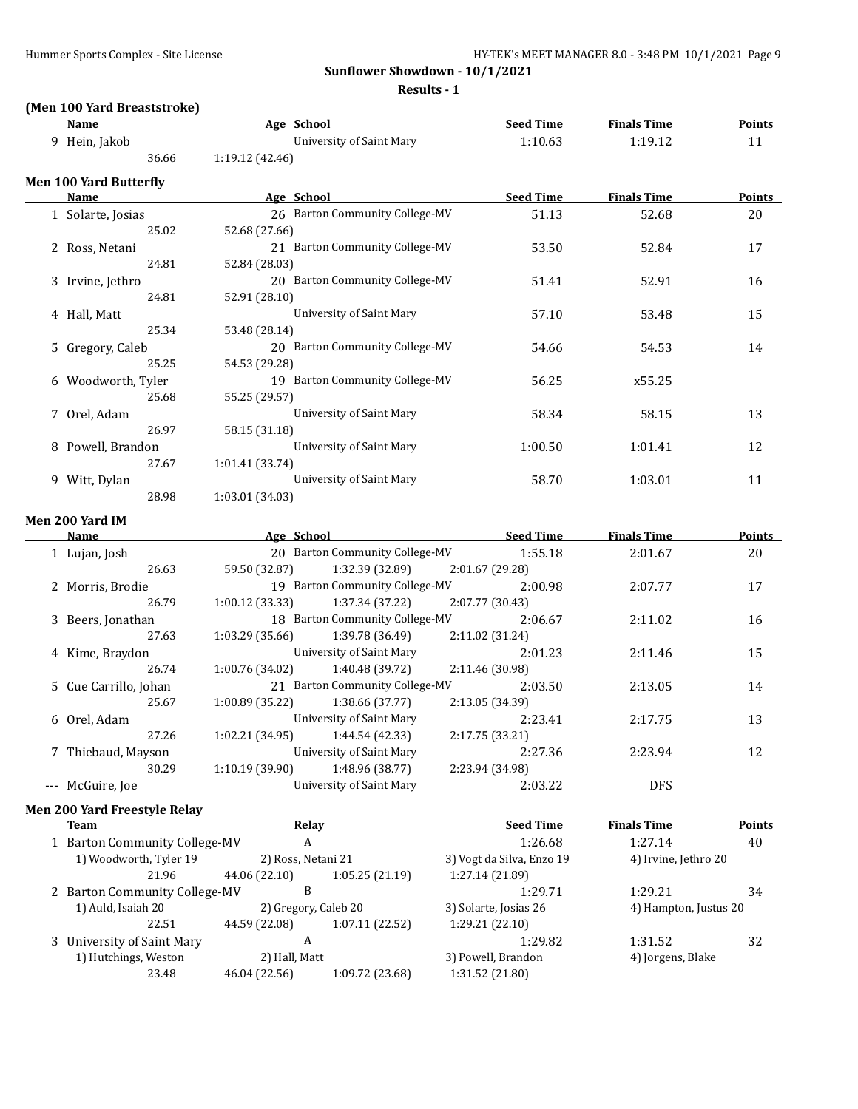**Results - 1**

# **(Men 100 Yard Breaststroke)**

| Name                                | Age School                         | <b>Seed Time</b> | <b>Finals Time</b> | <u>Points</u> |
|-------------------------------------|------------------------------------|------------------|--------------------|---------------|
| 9 Hein, Jakob                       | University of Saint Mary           | 1:10.63          | 1:19.12            | 11            |
| 36.66                               | 1:19.12 (42.46)                    |                  |                    |               |
| <b>Men 100 Yard Butterfly</b>       |                                    |                  |                    |               |
| Name                                | Age School                         | <b>Seed Time</b> | <b>Finals Time</b> | Points        |
| 1 Solarte, Josias                   | 26 Barton Community College-MV     | 51.13            | 52.68              | 20            |
| 25.02                               | 52.68 (27.66)                      |                  |                    |               |
| 2 Ross, Netani                      | 21 Barton Community College-MV     | 53.50            | 52.84              | 17            |
| 24.81                               | 52.84 (28.03)                      |                  |                    |               |
| 3 Irvine, Jethro                    | 20 Barton Community College-MV     | 51.41            | 52.91              | 16            |
| 24.81                               | 52.91 (28.10)                      |                  |                    |               |
| 4 Hall, Matt                        | <b>University of Saint Mary</b>    | 57.10            | 53.48              | 15            |
| 25.34                               | 53.48 (28.14)                      |                  |                    |               |
| 5 Gregory, Caleb                    | 20 Barton Community College-MV     | 54.66            | 54.53              | 14            |
| 25.25                               | 54.53 (29.28)                      |                  |                    |               |
| 6 Woodworth, Tyler                  | 19 Barton Community College-MV     | 56.25            | x55.25             |               |
| 25.68                               | 55.25 (29.57)                      |                  |                    |               |
| 7 Orel, Adam                        | <b>University of Saint Mary</b>    | 58.34            | 58.15              | 13            |
| 26.97                               | 58.15 (31.18)                      |                  |                    |               |
| 8 Powell, Brandon                   | <b>University of Saint Mary</b>    | 1:00.50          | 1:01.41            | 12            |
| 27.67                               | 1:01.41 (33.74)                    |                  |                    |               |
| 9 Witt, Dylan                       | <b>University of Saint Mary</b>    | 58.70            | 1:03.01            | 11            |
| 28.98                               | 1:03.01 (34.03)                    |                  |                    |               |
| Men 200 Yard IM                     |                                    |                  |                    |               |
| Name                                | Age School<br><u>Seed Time</u>     |                  | <b>Finals Time</b> | Points        |
| 1 Lujan, Josh                       | 20 Barton Community College-MV     | 1:55.18          | 2:01.67            | 20            |
| 26.63                               | 59.50 (32.87)<br>1:32.39 (32.89)   | 2:01.67 (29.28)  |                    |               |
| 2 Morris, Brodie                    | 19 Barton Community College-MV     | 2:00.98          | 2:07.77            | 17            |
| 26.79                               | 1:00.12 (33.33)<br>1:37.34 (37.22) | 2:07.77 (30.43)  |                    |               |
| 3 Beers, Jonathan                   | 18 Barton Community College-MV     | 2:06.67          | 2:11.02            | 16            |
| 27.63                               | 1:03.29 (35.66)<br>1:39.78 (36.49) | 2:11.02 (31.24)  |                    |               |
| 4 Kime, Braydon                     | <b>University of Saint Mary</b>    | 2:01.23          | 2:11.46            | 15            |
| 26.74                               | 1:00.76 (34.02)<br>1:40.48 (39.72) | 2:11.46 (30.98)  |                    |               |
| 5 Cue Carrillo, Johan               | 21 Barton Community College-MV     | 2:03.50          | 2:13.05            | 14            |
| 25.67                               | 1:00.89 (35.22)<br>1:38.66 (37.77) | 2:13.05 (34.39)  |                    |               |
| 6 Orel, Adam                        | University of Saint Mary           | 2:23.41          | 2:17.75            | 13            |
| 27.26                               | 1:44.54 (42.33)<br>1:02.21 (34.95) | 2:17.75 (33.21)  |                    |               |
| 7 Thiebaud, Mayson                  | University of Saint Mary           | 2:27.36          | 2:23.94            | 12            |
| 30.29                               | 1:10.19 (39.90)<br>1:48.96 (38.77) | 2:23.94 (34.98)  |                    |               |
| --- McGuire, Joe                    | <b>University of Saint Mary</b>    | 2:03.22          | <b>DFS</b>         |               |
| <b>Men 200 Yard Freestyle Relay</b> |                                    |                  |                    |               |
|                                     |                                    |                  |                    |               |

| Team                          | Relay                |                 | <b>Seed Time</b>          | <b>Finals Time</b>    | <b>Points</b> |
|-------------------------------|----------------------|-----------------|---------------------------|-----------------------|---------------|
| 1 Barton Community College-MV | А                    |                 | 1:26.68                   | 1:27.14               | 40            |
| 1) Woodworth, Tyler 19        | 2) Ross, Netani 21   |                 | 3) Vogt da Silva, Enzo 19 | 4) Irvine, Jethro 20  |               |
| 21.96                         | 44.06 (22.10)        | 1:05.25(21.19)  | 1:27.14 (21.89)           |                       |               |
| 2 Barton Community College-MV | В                    |                 | 1:29.71                   | 1:29.21               | 34            |
| 1) Auld, Isaiah 20            | 2) Gregory, Caleb 20 |                 | 3) Solarte, Josias 26     | 4) Hampton, Justus 20 |               |
| 22.51                         | 44.59 (22.08)        | 1:07.11(22.52)  | 1:29.21 (22.10)           |                       |               |
| 3 University of Saint Mary    | A                    |                 | 1:29.82                   | 1:31.52               | 32            |
| 1) Hutchings, Weston          | 2) Hall, Matt        |                 | 3) Powell, Brandon        | 4) Jorgens, Blake     |               |
| 23.48                         | 46.04 (22.56)        | 1:09.72 (23.68) | 1:31.52 (21.80)           |                       |               |